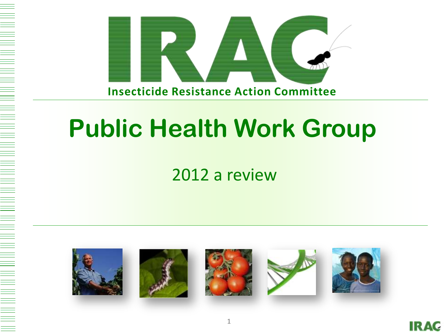

# **Public Health Work Group**

# 2012 a review



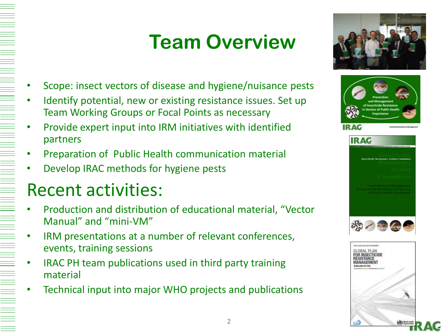# **Team Overview**



- Scope: insect vectors of disease and hygiene/nuisance pests
- Identify potential, new or existing resistance issues. Set up Team Working Groups or Focal Points as necessary
- Provide expert input into IRM initiatives with identified partners
- Preparation of Public Health communication material
- Develop IRAC methods for hygiene pests

# Recent activities:

- Production and distribution of educational material, "Vector Manual" and "mini-VM"
- IRM presentations at a number of relevant conferences, events, training sessions
- IRAC PH team publications used in third party training material
- Technical input into major WHO projects and publications

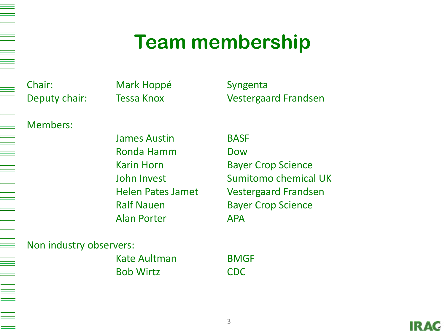# **Team membership**

Chair: Mark Hoppé Syngenta

# Members:

James Austin BASF Ronda Hamm Dow Alan Porter APA

Deputy chair: Tessa Knox Vestergaard Frandsen

Karin Horn Bayer Crop Science John Invest Sumitomo chemical UK Helen Pates Jamet Vestergaard Frandsen Ralf Nauen Bayer Crop Science

## Non industry observers:

Kate Aultman BMGF Bob Wirtz CDC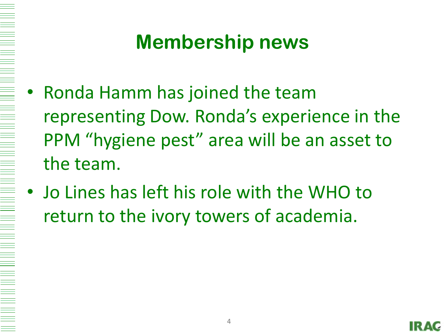# **Membership news**

- Ronda Hamm has joined the team representing Dow. Ronda's experience in the PPM "hygiene pest" area will be an asset to the team.
	- Jo Lines has left his role with the WHO to return to the ivory towers of academia.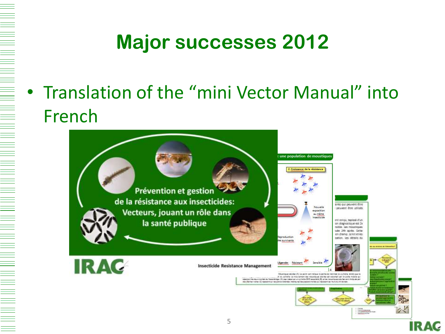# **Major successes 2012**

• Translation of the "mini Vector Manual" into French

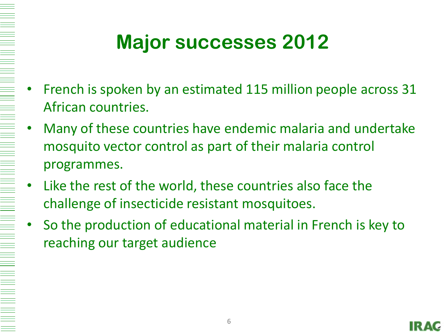# **Major successes 2012**

- French is spoken by an estimated 115 million people across 31 African countries.
- Many of these countries have endemic malaria and undertake mosquito vector control as part of their malaria control programmes.
- Like the rest of the world, these countries also face the challenge of insecticide resistant mosquitoes.
- So the production of educational material in French is key to reaching our target audience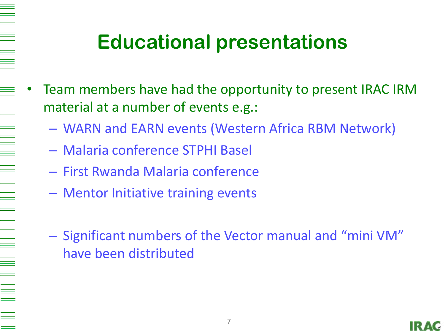# **Educational presentations**

- Team members have had the opportunity to present IRAC IRM material at a number of events e.g.:
	- WARN and EARN events (Western Africa RBM Network)
	- Malaria conference STPHI Basel
	- First Rwanda Malaria conference
	- Mentor Initiative training events
	- Significant numbers of the Vector manual and "mini VM" have been distributed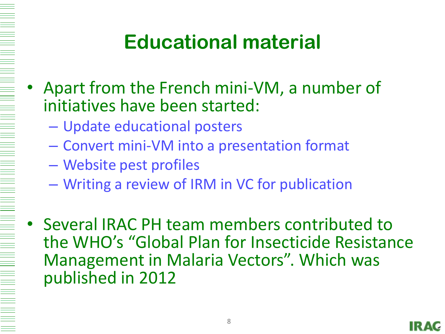# 

# **Educational material**

- Apart from the French mini-VM, a number of initiatives have been started:
	- Update educational posters
	- Convert mini-VM into a presentation format
	- Website pest profiles
	- Writing a review of IRM in VC for publication
- Several IRAC PH team members contributed to the WHO's "Global Plan for Insecticide Resistance Management in Malaria Vectors". Which was published in 2012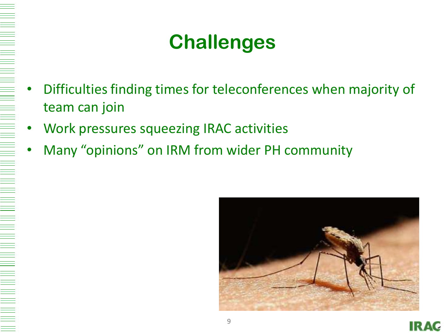# **Challenges**

- Difficulties finding times for teleconferences when majority of team can join
- Work pressures squeezing IRAC activities
- Many "opinions" on IRM from wider PH community



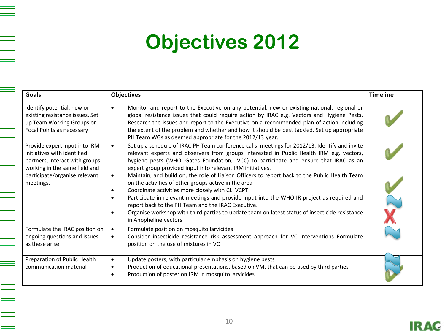# **Objectives 2012**

| <b>Goals</b>                                                                                                                                                                  | <b>Objectives</b>                                                                                                                                                                                                                                                                                                                                                                                                                                                                                                                                                                                                                                                                                                                                                                                                                                                           | <b>Timeline</b> |
|-------------------------------------------------------------------------------------------------------------------------------------------------------------------------------|-----------------------------------------------------------------------------------------------------------------------------------------------------------------------------------------------------------------------------------------------------------------------------------------------------------------------------------------------------------------------------------------------------------------------------------------------------------------------------------------------------------------------------------------------------------------------------------------------------------------------------------------------------------------------------------------------------------------------------------------------------------------------------------------------------------------------------------------------------------------------------|-----------------|
| Identify potential, new or<br>existing resistance issues. Set<br>up Team Working Groups or<br>Focal Points as necessary                                                       | Monitor and report to the Executive on any potential, new or existing national, regional or<br>$\bullet$<br>global resistance issues that could require action by IRAC e.g. Vectors and Hygiene Pests.<br>Research the issues and report to the Executive on a recommended plan of action including<br>the extent of the problem and whether and how it should be best tackled. Set up appropriate<br>PH Team WGs as deemed appropriate for the 2012/13 year.                                                                                                                                                                                                                                                                                                                                                                                                               |                 |
| Provide expert input into IRM<br>initiatives with identified<br>partners, interact with groups<br>working in the same field and<br>participate/organise relevant<br>meetings. | Set up a schedule of IRAC PH Team conference calls, meetings for 2012/13. Identify and invite<br>$\bullet$<br>relevant experts and observers from groups interested in Public Health IRM e.g. vectors,<br>hygiene pests (WHO, Gates Foundation, IVCC) to participate and ensure that IRAC as an<br>expert group provided input into relevant IRM initiatives.<br>Maintain, and build on, the role of Liaison Officers to report back to the Public Health Team<br>٠<br>on the activities of other groups active in the area<br>Coordinate activities more closely with CLI VCPT<br>$\bullet$<br>Participate in relevant meetings and provide input into the WHO IR project as required and<br>report back to the PH Team and the IRAC Executive.<br>Organise workshop with third parties to update team on latest status of insecticide resistance<br>in Anopheline vectors |                 |
| Formulate the IRAC position on<br>ongoing questions and issues<br>as these arise                                                                                              | Formulate position on mosquito larvicides<br>$\bullet$<br>Consider insecticide resistance risk assessment approach for VC interventions Formulate<br>٠<br>position on the use of mixtures in VC                                                                                                                                                                                                                                                                                                                                                                                                                                                                                                                                                                                                                                                                             |                 |
| Preparation of Public Health<br>communication material                                                                                                                        | Update posters, with particular emphasis on hygiene pests<br>$\bullet$<br>Production of educational presentations, based on VM, that can be used by third parties<br>٠<br>Production of poster on IRM in mosquito larvicides                                                                                                                                                                                                                                                                                                                                                                                                                                                                                                                                                                                                                                                |                 |